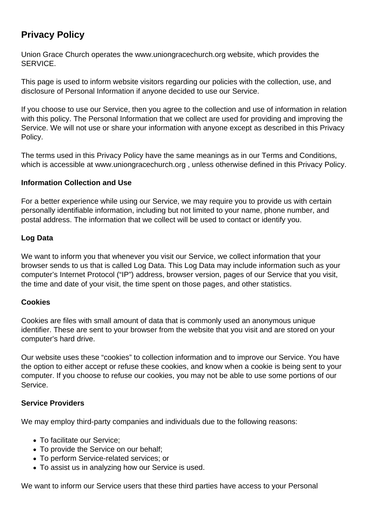# **Privacy Policy**

Union Grace Church operates the www.uniongracechurch.org website, which provides the SERVICE.

This page is used to inform website visitors regarding our policies with the collection, use, and disclosure of Personal Information if anyone decided to use our Service.

If you choose to use our Service, then you agree to the collection and use of information in relation with this policy. The Personal Information that we collect are used for providing and improving the Service. We will not use or share your information with anyone except as described in this Privacy Policy.

The terms used in this Privacy Policy have the same meanings as in our Terms and Conditions, which is accessible at www.uniongracechurch.org , unless otherwise defined in this Privacy Policy.

#### **Information Collection and Use**

For a better experience while using our Service, we may require you to provide us with certain personally identifiable information, including but not limited to your name, phone number, and postal address. The information that we collect will be used to contact or identify you.

#### **Log Data**

We want to inform you that whenever you visit our Service, we collect information that your browser sends to us that is called Log Data. This Log Data may include information such as your computer's Internet Protocol ("IP") address, browser version, pages of our Service that you visit, the time and date of your visit, the time spent on those pages, and other statistics.

### **Cookies**

Cookies are files with small amount of data that is commonly used an anonymous unique identifier. These are sent to your browser from the website that you visit and are stored on your computer's hard drive.

Our website uses these "cookies" to collection information and to improve our Service. You have the option to either accept or refuse these cookies, and know when a cookie is being sent to your computer. If you choose to refuse our cookies, you may not be able to use some portions of our Service.

#### **Service Providers**

We may employ third-party companies and individuals due to the following reasons:

- To facilitate our Service;
- To provide the Service on our behalf:
- To perform Service-related services; or
- To assist us in analyzing how our Service is used.

We want to inform our Service users that these third parties have access to your Personal